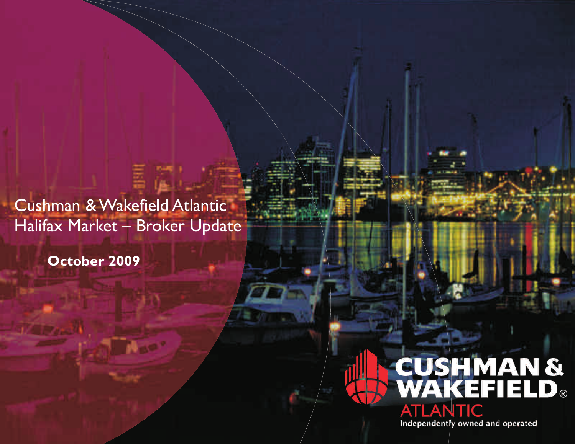Cushman & Wakefield Atlantic Halifax Market – Broker Update

**October 2009**

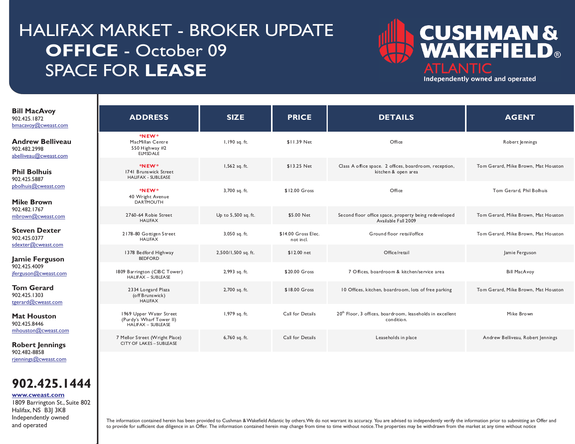# HALIFAX MARKET - BROKER UPDATE **OFFICE** - October 09 SPACE FOR **LEASE**



Independently owned and operated

| <b>Bill MacAvoy</b><br>902.425.1872<br>$b$ macavoy $@$ cweast.com | <b>ADDRESS</b>                                                            | <b>SIZE</b>         | <b>PRICE</b>                     | <b>DETAILS</b>                                                                      | <b>AGENT</b>                        |
|-------------------------------------------------------------------|---------------------------------------------------------------------------|---------------------|----------------------------------|-------------------------------------------------------------------------------------|-------------------------------------|
| <b>Andrew Belliveau</b><br>902.482.2998<br>abelliveau@cweast.com  | *NEW*<br>MacMillan Centre<br>550 Highway #2<br><b>ELMSDALE</b>            | I, 190 sq. ft.      | \$11.39 Net                      | Office                                                                              | Robert Jennings                     |
| <b>Phil Bolhuis</b><br>902.425.5887                               | *NEW*<br>1741 Brunswick Street<br>HALIFAX - SUBLEASE                      | 1,562 sq. ft.       | \$13.25 Net                      | Class A office space. 2 offices, boardroom, reception,<br>kitchen & open area       | Tom Gerard, Mike Brown, Mat Houston |
| pbolhuis@cweast.com<br><b>Mike Brown</b>                          | *NEW*<br>40 Wright Avenue<br><b>DARTMOUTH</b>                             | 3,700 sq. ft.       | \$12.00 Gross                    | Office                                                                              | Tom Gerard, Phil Bolhuis            |
| 902.482.1767<br>mbrown@cweast.com                                 | 2760-64 Robie Street<br><b>HALIFAX</b>                                    | Up to 5,500 sq. ft. | \$5.00 Net                       | Second floor office space, property being redeveloped<br>Available Fall 2009        | Tom Gerard, Mike Brown, Mat Houston |
| <b>Steven Dexter</b><br>902.425.0377<br>sdexter@cweast.com        | 2178-80 Gottigen Street<br><b>HALIFAX</b>                                 | 3,050 sq. ft.       | \$14.00 Gross Elec.<br>not incl. | Ground floor retail/office                                                          | Tom Gerard, Mike Brown, Mat Houston |
| Jamie Ferguson                                                    | 1378 Bedford Highway<br><b>BEDFORD</b>                                    | 2,500/1,500 sq. ft. | \$12.00 net                      | Office/retail                                                                       | Jamie Ferguson                      |
| 902.425.4009<br>jferguson@cweast.com                              | 1809 Barrington (CIBC Tower)<br><b>HALIFAX - SUBLEASE</b>                 | 2,993 sq. ft.       | \$20.00 Gross                    | 7 Offices, boardroom & kitchen/service area                                         | <b>Bill MacAvoy</b>                 |
| <b>Tom Gerard</b><br>902.425.1303<br>tgerard@cweast.com           | 2334 Longard Plaza<br>(off Brunswick)<br><b>HALIFAX</b>                   | 2,700 sq. ft.       | \$18.00 Gross                    | 10 Offices, kitchen, boardroom, lots of free parking                                | Tom Gerard, Mike Brown, Mat Houston |
| <b>Mat Houston</b><br>902.425.8446                                | 1969 Upper Water Street<br>(Purdy's Wharf Tower II)<br>HALIFAX - SUBLEASE | 1,979 sq. ft.       | Call for Details                 | 20 <sup>th</sup> Floor, 3 offices, boardroom, leaseholds in excellent<br>condition. | Mike Brown                          |
| mhouston@cweast.com<br><b>Robert Jennings</b><br>902.482-8858     | 7 Mellor Street (Wright Place)<br><b>CITY OF LAKES - SUBLEASE</b>         | 6,760 sq. ft.       | Call for Details                 | Leaseholds in place                                                                 | Andrew Belliveau, Robert Jennings   |
|                                                                   |                                                                           |                     |                                  |                                                                                     |                                     |

[rjennings@cweast.com](mailto:rjennings@cweast.com)

I

I

### **902.425.1444**

**[www.cweast.com](http://www.cweast.com)**

1809 Barrington St., Suite 802 Halifax, NS B3J 3K8 Independently owned and operated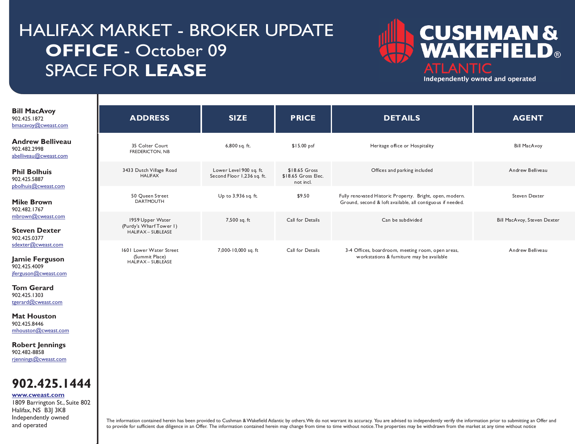# HALIFAX MARKET - BROKER UPDATE **OFFICE** - October 09 SPACE FOR **LEASE**



Independently owned and operated

| <b>Bill MacAvoy</b><br>902.425.1872<br>bmacavoy@cweast.com                                        | <b>ADDRESS</b>                            | <b>SIZE</b>                                                                                                                                                                                                                                                                                                                                                                                                                                                                                                                                                                                                                                                                                              | <b>PRICE</b>     | <b>DETAILS</b>                 | <b>AGENT</b>                |
|---------------------------------------------------------------------------------------------------|-------------------------------------------|----------------------------------------------------------------------------------------------------------------------------------------------------------------------------------------------------------------------------------------------------------------------------------------------------------------------------------------------------------------------------------------------------------------------------------------------------------------------------------------------------------------------------------------------------------------------------------------------------------------------------------------------------------------------------------------------------------|------------------|--------------------------------|-----------------------------|
| <b>Andrew Belliveau</b><br>902.482.2998<br>abelliveau@cweast.com                                  | 35 Colter Court<br><b>FREDERICTON, NB</b> | 6,800 sq. ft.                                                                                                                                                                                                                                                                                                                                                                                                                                                                                                                                                                                                                                                                                            | $$15.00$ psf     | Heritage office or Hospitality | <b>Bill MacAvoy</b>         |
| <b>Phil Bolhuis</b><br>902.425.5887<br>pbolhuis@cweast.com                                        | 3433 Dutch Village Road<br><b>HALIFAX</b> | Lower Level 900 sq. ft.<br>\$18.65 Gross<br>Offices and parking included<br>Second Floor 1,236 sq. ft.<br>\$18.65 Gross Elec.<br>not incl.<br>Up to 3,936 sq. ft.<br>\$9.50<br>Fully renovated Historic Property. Bright, open, modern.<br>50 Queen Street<br><b>DARTMOUTH</b><br>Ground, second & loft available, all contiguous if needed.<br>1959 Upper Water<br>7,500 sq. ft<br>Can be subdivided<br>Call for Details<br>(Purdy's Wharf Tower I)<br><b>HALIFAX - SUBLEASE</b><br>1601 Lower Water Street<br>7,000-10,000 sq. ft<br>Call for Details<br>3-4 Offices, boardroom, meeting room, open areas,<br>workstations & furniture may be available<br>(Summit Place)<br><b>HALIFAX - SUBLEASE</b> | Andrew Belliveau |                                |                             |
| <b>Mike Brown</b><br>902.482.1767                                                                 |                                           |                                                                                                                                                                                                                                                                                                                                                                                                                                                                                                                                                                                                                                                                                                          |                  |                                | Steven Dexter               |
| mbrown@cweast.com<br><b>Steven Dexter</b><br>902.425.0377                                         |                                           |                                                                                                                                                                                                                                                                                                                                                                                                                                                                                                                                                                                                                                                                                                          |                  |                                | Bill MacAvoy, Steven Dexter |
| sdexter@cweast.com<br>Jamie Ferguson<br>902.425.4009<br>jferguson@cweast.com<br><b>Tom Gerard</b> |                                           |                                                                                                                                                                                                                                                                                                                                                                                                                                                                                                                                                                                                                                                                                                          |                  |                                | Andrew Belliveau            |
| 902.425.1303<br>tgerard@cweast.com                                                                |                                           |                                                                                                                                                                                                                                                                                                                                                                                                                                                                                                                                                                                                                                                                                                          |                  |                                |                             |
| <b>Mat Houston</b><br>902.425.8446<br>mhouston@cweast.com                                         |                                           |                                                                                                                                                                                                                                                                                                                                                                                                                                                                                                                                                                                                                                                                                                          |                  |                                |                             |
| <b>Robert Jennings</b><br>902.482-8858<br>rjennings@cweast.com                                    |                                           |                                                                                                                                                                                                                                                                                                                                                                                                                                                                                                                                                                                                                                                                                                          |                  |                                |                             |

**902.425.1444**

I

I

1809 Barrington St., Suite 802 Halifax, NS B3J 3K8 Independently owned and operated **[www.cweast.com](http://www.cweast.com)**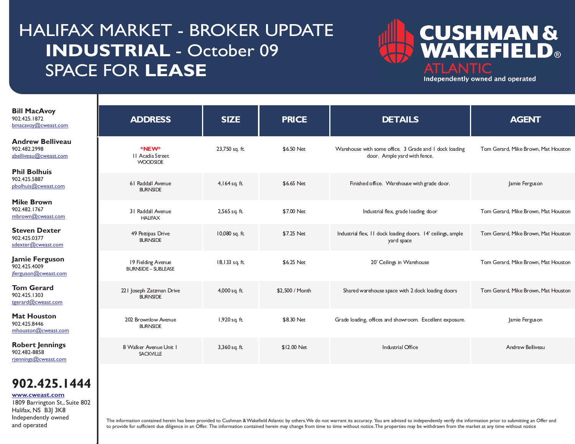# HALIFAX MARKET - BROKER UPDATE **INDUSTRIAL** - October 09 SPACE FOR **LEASE**



Independently owned and operated

| <b>Bill MacAvoy</b><br>902.425.1872<br>bmacavoy@cweast.com       | <b>ADDRESS</b>                                   | <b>SIZE</b>    | <b>PRICE</b>    | <b>DETAILS</b>                                                                         | <b>AGENT</b>                        |
|------------------------------------------------------------------|--------------------------------------------------|----------------|-----------------|----------------------------------------------------------------------------------------|-------------------------------------|
| <b>Andrew Belliveau</b><br>902.482.2998<br>abelliveau@cweast.com | *NEW*<br>II Acadia Street<br><b>WOODSIDE</b>     | 23,750 sq. ft. | \$6.50 Net      | Warehouse with some office. 3 Grade and 1 dock loading<br>door. Ample yard with fence. | Tom Gerard, Mike Brown, Mat Houston |
| <b>Phil Bolhuis</b><br>902.425.5887<br>pbolhuis@cweast.com       | 61 Raddall Avenue<br><b>BURNSIDE</b>             | 4,164 sq. ft.  | \$6.65 Net      | Finished office. Warehouse with grade door.                                            | Jamie Ferguson                      |
| <b>Mike Brown</b><br>902.482.1767<br>mbrown@cweast.com           | 31 Raddall Avenue<br><b>HAUFAX</b>               | 2,565 sq. ft.  | \$7.00 Net      | Industrial flex, grade loading door                                                    | Tom Gerard, Mike Brown, Mat Houston |
| <b>Steven Dexter</b><br>902.425.0377<br>sdexter@cweast.com       | 49 Pettipas Drive<br><b>BURNSIDE</b>             | 10,080 sq. ft. | \$7.25 Net      | Industrial flex, 11 dock loading doors. 14' ceilings, ample<br>yard space              | Tom Gerard, Mike Brown, Mat Houston |
| Jamie Ferguson<br>902.425.4009<br>ferguson@cweast.com            | 19 Fielding Avenue<br><b>BURNSIDE - SUBLEASE</b> | 18,133 sq. ft. | \$6.25 Net      | 20' Ceilings in Warehouse                                                              | Tom Gerard, Mike Brown, Mat Houston |
| <b>Tom Gerard</b><br>902.425.1303<br>tgerard@cweast.com          | 221 Joseph Zatzman Drive<br><b>BURNSIDE</b>      | 4,000 sq. ft.  | \$2,500 / Month | Shared warehouse space with 2 dock loading doors                                       | Tom Gerard, Mike Brown, Mat Houston |
| <b>Mat Houston</b><br>902.425.8446<br>mhouston@cweast.com        | 202 Brownlow Avenue<br><b>BURNSIDE</b>           | 1,920 sq. ft.  | \$8.30 Net      | Grade loading, offices and showroom. Excellent exposure.                               | Jamie Ferguson                      |
| <b>Robert Jennings</b><br>902.482-8858<br>rjennings@cweast.com   | 8 Walker Avenue Unit 1<br><b>SACKVILLE</b>       | 3,360 sq. ft.  | \$12.00 Net     | <b>Industrial Office</b>                                                               | Andrew Belliveau                    |
|                                                                  |                                                  |                |                 |                                                                                        |                                     |

### **902.425.1444**

1809 Barrington St., Suite 802 Halifax, NS B3J 3K8 **[www.cweast.com](http://www.cweast.com)**

I

I

Independently owned and operated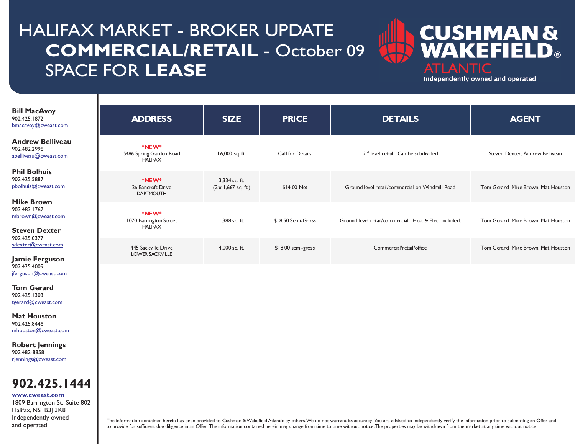# HALIFAX MARKET - BROKER UPDATE **COMMERCIAL/RETAIL** - October 09 SPACE FOR **LEASE**



Independently owned and operated

| <b>Bill MacAvoy</b><br>902.425.1872<br>bmacavoy@cweast.com                     | <b>ADDRESS</b>                                    | <b>SIZE</b>                                 | <b>PRICE</b>       | <b>DETAILS</b>                                         | <b>AGENT</b>                        |
|--------------------------------------------------------------------------------|---------------------------------------------------|---------------------------------------------|--------------------|--------------------------------------------------------|-------------------------------------|
| <b>Andrew Belliveau</b><br>902.482.2998<br>abelliveau@cweast.com               | *NEW*<br>5486 Spring Garden Road<br><b>HAUFAX</b> | 16,000 sq. ft.                              | Call for Details   | 2 <sup>nd</sup> level retail. Can be subdivided        | Steven Dexter, Andrew Belliveau     |
| <b>Phil Bolhuis</b><br>902.425.5887<br>pbolhuis@cweast.com                     | *NEW*<br>26 Bancroft Drive<br><b>DARTMOUTH</b>    | 3,334 sq. ft.<br>$(2 \times 1,667$ sq. ft.) | \$14.00 Net        | Ground level retail/commercial on Windmill Road        | Tom Gerard, Mike Brown, Mat Houston |
| <b>Mike Brown</b><br>902.482.1767<br>mbrown@cweast.com<br><b>Steven Dexter</b> | *NEW*<br>1070 Barrington Street<br><b>HAUFAX</b>  | 1,388 sq. ft.                               | \$18.50 Semi-Gross | Ground level retail/commercial. Heat & Elec. included. | Tom Gerard, Mike Brown, Mat Houston |
| 902.425.0377<br>sdexter@cweast.com<br>Jamie Ferguson                           | 445 Sackville Drive<br><b>LOWER SACKVILLE</b>     | 4,000 sq. ft.                               | \$18.00 semi-gross | Commercial/retail/office                               | Tom Gerard, Mike Brown, Mat Houston |
| 902.425.4009<br>jferguson@cweast.com                                           |                                                   |                                             |                    |                                                        |                                     |

**Tom Gerard** 902.425.1303 [tgerard@cweast.com](mailto:tgerard@cweast.com)

I

I

**Mat Houston** 902.425.8446 [mhouston@cweast.com](mailto:mhouston@cweast.com)

**Robert Jennings** 902.482-8858 [rjennings@cweast.com](mailto:rjennings@cweast.com)



**[www.cweast.com](http://www.cweast.com)**

1809 Barrington St., Suite 802 Halifax, NS B3J 3K8 Independently owned and operated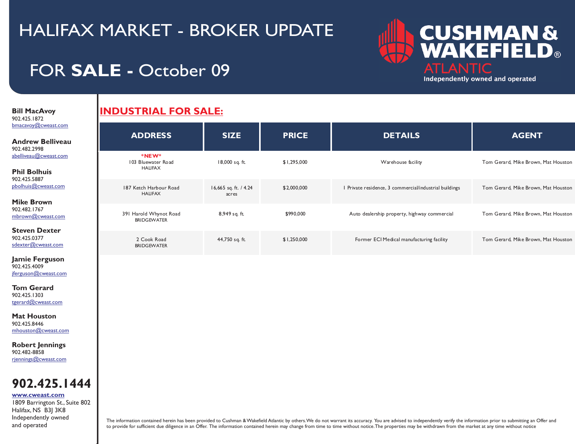

## FOR **SALE -** October 09

**Bill MacAvoy**  902.425.1872 [bmacavoy@cweast.com](mailto:bmacavoy@cweast.com)

I

I

#### **Andrew Belliveau** 902.482.2998 [abelliveau@cweast.com](mailto:abelliveau@cweast.com)

**Phil Bolhuis** 902.425.5887 [pbolhuis@cweast.com](mailto:abelliveau@cweast.com)

**Mike Brown** 902.482.1767 [mbrown@cweast.com](mailto:mbrown@cweast.com)

**Steven Dexter** 902.425.0377 [sdexter@cweast.com](mailto:sdexter@cweast.com)

**Jamie Ferguson** 902.425.4009 [jferguson@cweast.com](mailto:jferguson@cweast.com)

**Tom Gerard** 902.425.1303 [tgerard@cweast.com](mailto:tgerard@cweast.com)

**Mat Houston** 902.425.8446 [mhouston@cweast.com](mailto:mhouston@cweast.com)

**Robert Jennings** 902.482-8858 [rjennings@cweast.com](mailto:rjennings@cweast.com)

### **902.425.1444**

**[www.cweast.com](http://www.cweast.com)**

1809 Barrington St., Suite 802 Halifax, NS B3J 3K8 Independently owned and operated

### **INDUSTRIAL FOR SALE:**

| <b>ADDRESS</b>                               | <b>SIZE</b>                    | <b>PRICE</b> | <b>DETAILS</b>                                         | <b>AGENT</b>                        |
|----------------------------------------------|--------------------------------|--------------|--------------------------------------------------------|-------------------------------------|
| *NEW*<br>103 Bluewater Road<br><b>HAUFAX</b> | 18,000 sq. ft.                 | \$1,295,000  | Warehouse facility                                     | Tom Gerard, Mike Brown, Mat Houston |
| 187 Ketch Harbour Road<br><b>HAUFAX</b>      | 16,665 sq. ft. / 4.24<br>acres | \$2,000,000  | I Private residence, 3 commercial/industrial buildings | Tom Gerard, Mike Brown, Mat Houston |
| 391 Harold Whynot Road<br><b>BRIDGEWATER</b> | 8,949 sq. ft.                  | \$990,000    | Auto dealership property, highway commercial           | Tom Gerard, Mike Brown, Mat Houston |
| 2 Cook Road<br><b>BRIDGEWATER</b>            | 44,750 sq. ft.                 | \$1,250,000  | Former ECI Medical manufacturing facility              | Tom Gerard, Mike Brown, Mat Houston |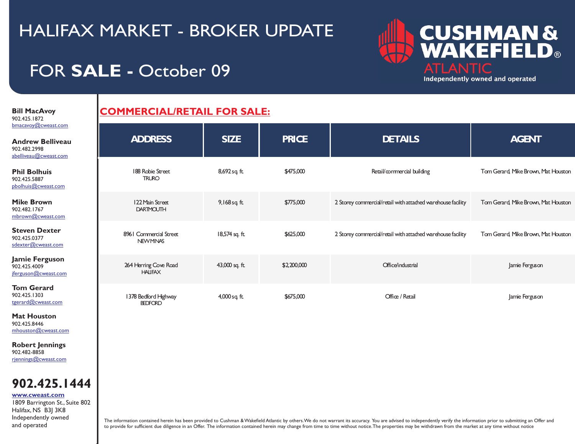# FOR **SALE -** October 09

**CUSHMAN &<br>WAKEFIELD® ATLANTIC** Independently owned and operated

**Bill MacAvoy**  902.425.1872 bmacav

I

I

### **COMMERCIAL/RETAIL FOR SALE:**

| bmacavoy@cweast.com<br><b>Andrew Belliveau</b><br>902.482.2998<br>abelliveau@cweast.com | <b>ADDRESS</b>                           | <b>SIZE</b>     | <b>PRICE</b> | <b>DETAILS</b>                                              | <b>AGENT</b>                        |
|-----------------------------------------------------------------------------------------|------------------------------------------|-----------------|--------------|-------------------------------------------------------------|-------------------------------------|
| <b>Phil Bolhuis</b><br>902.425.5887<br>pbolhuis@cweast.com                              | 188 Robie Street<br><b>TRURO</b>         | 8,692 sq ft.    | \$475,000    | Retail/commercial building                                  | Tom Gerard, Mike Brown, Mat Houston |
| <b>Mike Brown</b><br>902.482.1767<br>mbrown@cweast.com                                  | 122 Main Street<br><b>DARTMOUTH</b>      | $9,168$ sq ft   | \$775,000    | 2 Storey commercial/retail with attached warehouse facility | Tom Gerard, Mike Brown, Mat Houston |
| <b>Steven Dexter</b><br>902.425.0377<br>sdexter@cweast.com                              | 8961 Commercial Street<br><b>NEWMNAS</b> | 18,574 sq. ft.  | \$625,000    | 2 Storey commercial/retail with attached warehouse facility | Tom Gerard, Mike Brown, Mat Houston |
| Jamie Ferguson<br>902.425.4009<br>jferguson@cweast.com                                  | 264 Herring Cove Road<br><b>HAUFAX</b>   | 43,000 sq. ft.  | \$2,200,000  | Office/industrial                                           | Jamie Ferguson                      |
| <b>Tom Gerard</b><br>902.425.1303<br>tgerard@cweast.com                                 | 1378 Bedford Highway<br><b>BEDFORD</b>   | $4,000$ sq. ft. | \$675,000    | Office / Retail                                             | Jamie Ferguson                      |

**Mat Houston** 902.425.8446 [mhouston@cweast.com](mailto:mhouston@cweast.com)

**Robert Jennings** 902.482-8858 [rjennings@cweast.com](mailto:rjennings@cweast.com)

### **902.425.1444**

1809 Barrington St., Suite 802 **[www.cweast.com](http://www.cweast.com)**

Halifax, NS B3J 3K8 Independently owned and operated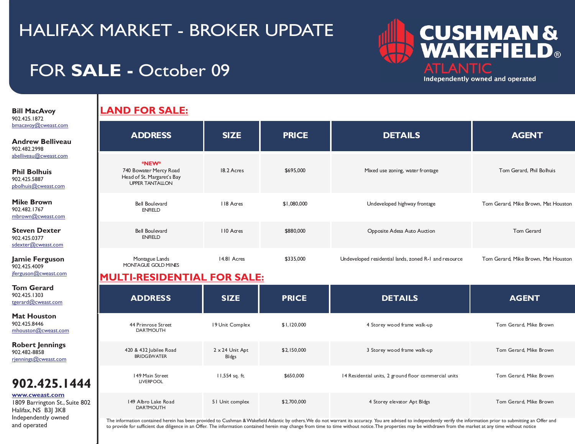# FOR **SALE -** October 09



**Bill MacAvoy**  902.425.1872 [bmacavoy@cweast.com](mailto:bmacavoy@cweast.com)

I

I

**Andrew Bellivea** 902.482.2998 [abelliveau@cweast.com](mailto:abelliveau@cweast.com)

**Phil Bolhuis** 902.425.5887 [pbolhuis@cweast.com](mailto:abelliveau@cweast.com)

**Mike Brown** 902.482.1767 [mbrown@cweast.com](mailto:mbrown@cweast.com)

**Steven Dexter** 902.425.0377 [sdexter@cweast.com](mailto:sdexter@cweast.com)

**Jamie Ferguson** 902.425.4009 [jferguson@cweast.com](mailto:jferguson@cweast.com)

**Tom Gerard** 902.425.1303 [tgerard@cweast.com](mailto:tgerard@cweast.com)

**Mat Houston** 902.425.8446 [mhouston@cweast.com](mailto:mhouston@cweast.com)

**Robert Jennings** 902.482-8858 [rjennings@cweast.com](mailto:rjennings@cweast.com)

### **902.425.14**

#### **[www.cweast.com](http://www.cweast.com)**

1809 Barrington St., Suite Halifax, NS B3J 3K8 Independently owned and operated

### **LAND FOR SALE:**

| u. | <b>ADDRESS</b>                                                                          | <b>SIZE</b> | <b>PRICE</b> | <b>DETAILS</b>                                        | <b>AGENT</b>                        |
|----|-----------------------------------------------------------------------------------------|-------------|--------------|-------------------------------------------------------|-------------------------------------|
|    | *NEW*<br>740 Bowater Mercy Road<br>Head of St. Margaret's Bay<br><b>UPPER TANTALLON</b> | 18.2 Acres  | \$695,000    | Mixed use zoning, water frontage                      | Tom Gerard, Phil Bolhuis            |
|    | <b>Bell Boulevard</b><br><b>ENRELD</b>                                                  | 118 Acres   | \$1,080,000  | Undeveloped highway frontage                          | Tom Gerard, Mike Brown, Mat Houston |
|    | <b>Bell Boulevard</b><br><b>ENRELD</b>                                                  | 110 Acres   | \$880,000    | Opposite Adesa Auto Auction                           | Tom Gerard                          |
|    | Montague Lands<br>MONTAGUE GOLD MINES                                                   | 14.81 Acres | \$335,000    | Undeveloped residential lands, zoned R-I and resource | Tom Gerard, Mike Brown, Mat Houston |

### **MULTI-RESIDENTIAL FOR SALE:**

|      | <b>ADDRESS</b>                               | <b>SIZE</b>              | <b>PRICE</b> | <b>DETAILS</b>                                        | <b>AGENT</b>           |
|------|----------------------------------------------|--------------------------|--------------|-------------------------------------------------------|------------------------|
|      | 44 Primrose Street<br><b>DARTMOUTH</b>       | 19 Unit Complex          | \$1,120,000  | 4 Storey wood frame walk-up                           | Tom Gerard, Mike Brown |
|      | 420 & 432 Jubilee Road<br><b>BRIDGEWATER</b> | 2 x 24 Unit Apt<br>BIdgs | \$2,150,000  | 3 Storey wood frame walk-up                           | Tom Gerard, Mike Brown |
| 44   | 149 Main Street<br><b>LIVERPOOL</b>          | 11,554 sq. ft.           | \$650,000    | 14 Residential units, 2 ground floor commercial units | Tom Gerard, Mike Brown |
| .802 | 149 Albro Lake Road<br><b>DARTMOUTH</b>      | 51 Unit complex          | \$2,700,000  | 4 Storey elevator Apt Bldgs                           | Tom Gerard, Mike Brown |